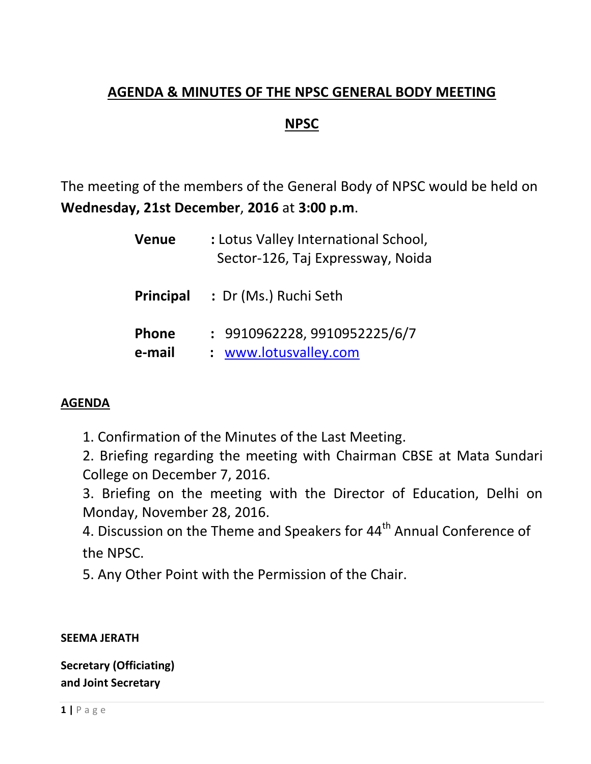# **AGENDA & MINUTES OF THE NPSC GENERAL BODY MEETING**

## **NPSC**

The meeting of the members of the General Body of NPSC would be held on **Wednesday, 21st December**, **2016** at **3:00 p.m**.

| <b>Venue</b>           | : Lotus Valley International School,<br>Sector-126, Taj Expressway, Noida |
|------------------------|---------------------------------------------------------------------------|
| <b>Principal</b>       | : Dr (Ms.) Ruchi Seth                                                     |
| <b>Phone</b><br>e-mail | : 9910962228, 9910952225/6/7<br>: www.lotusvalley.com                     |

#### **AGENDA**

1. Confirmation of the Minutes of the Last Meeting.

2. Briefing regarding the meeting with Chairman CBSE at Mata Sundari College on December 7, 2016.

3. Briefing on the meeting with the Director of Education, Delhi on Monday, November 28, 2016.

4. Discussion on the Theme and Speakers for 44<sup>th</sup> Annual Conference of the NPSC.

5. Any Other Point with the Permission of the Chair.

**SEEMA JERATH**

**Secretary (Officiating) and Joint Secretary**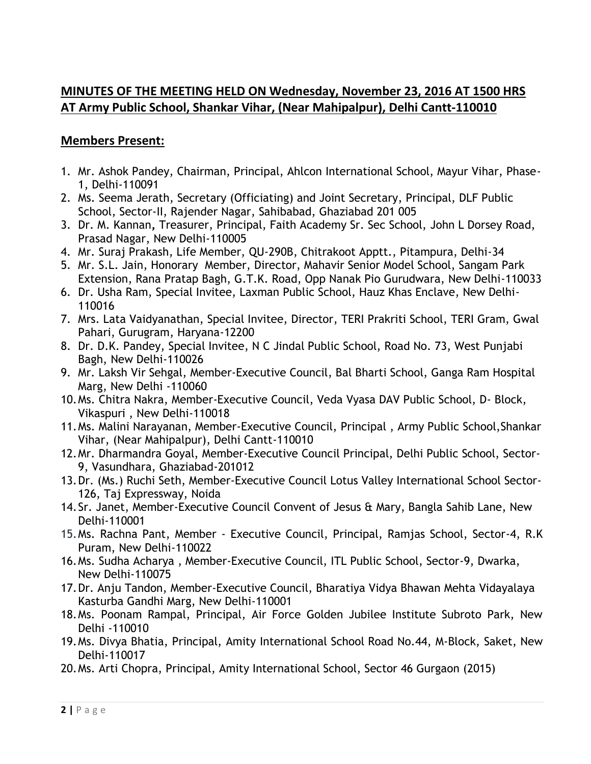#### **MINUTES OF THE MEETING HELD ON Wednesday, November 23, 2016 AT 1500 HRS AT Army Public School, Shankar Vihar, (Near Mahipalpur), Delhi Cantt-110010**

#### **Members Present:**

- 1. Mr. Ashok Pandey, Chairman, Principal, Ahlcon International School, Mayur Vihar, Phase-1, Delhi-110091
- 2. Ms. Seema Jerath, Secretary (Officiating) and Joint Secretary, Principal, DLF Public School, Sector-II, Rajender Nagar, Sahibabad, Ghaziabad 201 005
- 3. Dr. M. Kannan**,** Treasurer, Principal, Faith Academy Sr. Sec School, John L Dorsey Road, Prasad Nagar, New Delhi-110005
- 4. Mr. Suraj Prakash, Life Member, QU-290B, Chitrakoot Apptt., Pitampura, Delhi-34
- 5. Mr. S.L. Jain, Honorary Member, Director, Mahavir Senior Model School, Sangam Park Extension, Rana Pratap Bagh, G.T.K. Road, Opp Nanak Pio Gurudwara, New Delhi-110033
- 6. Dr. Usha Ram, Special Invitee, Laxman Public School, Hauz Khas Enclave, New Delhi-110016
- 7. Mrs. Lata Vaidyanathan, Special Invitee, Director, TERI Prakriti School, TERI Gram, Gwal Pahari, Gurugram, Haryana-12200
- 8. Dr. D.K. Pandey, Special Invitee, N C Jindal Public School, Road No. 73, West Punjabi Bagh, New Delhi-110026
- 9. Mr. Laksh Vir Sehgal, Member-Executive Council, Bal Bharti School, Ganga Ram Hospital Marg, New Delhi -110060
- 10.Ms. Chitra Nakra, Member-Executive Council, Veda Vyasa DAV Public School, D- Block, Vikaspuri , New Delhi-110018
- 11.Ms. Malini Narayanan, Member-Executive Council, Principal , Army Public School,Shankar Vihar, (Near Mahipalpur), Delhi Cantt-110010
- 12.Mr. Dharmandra Goyal, Member-Executive Council Principal, Delhi Public School, Sector-9, Vasundhara, Ghaziabad-201012
- 13.Dr. (Ms.) Ruchi Seth, Member-Executive Council Lotus Valley International School Sector-126, Taj Expressway, Noida
- 14.Sr. Janet, Member-Executive Council Convent of Jesus & Mary, Bangla Sahib Lane, New Delhi-110001
- 15.Ms. Rachna Pant, Member Executive Council, Principal, Ramjas School, Sector-4, R.K Puram, New Delhi-110022
- 16.Ms. Sudha Acharya , Member-Executive Council, ITL Public School, Sector-9, Dwarka, New Delhi-110075
- 17.Dr. Anju Tandon, Member-Executive Council, Bharatiya Vidya Bhawan Mehta Vidayalaya Kasturba Gandhi Marg, New Delhi-110001
- 18.Ms. Poonam Rampal, Principal, Air Force Golden Jubilee Institute Subroto Park, New Delhi -110010
- 19.Ms. Divya Bhatia, Principal, Amity International School Road No.44, M-Block, Saket, New Delhi-110017
- 20.Ms. Arti Chopra, Principal, Amity International School, Sector 46 Gurgaon (2015)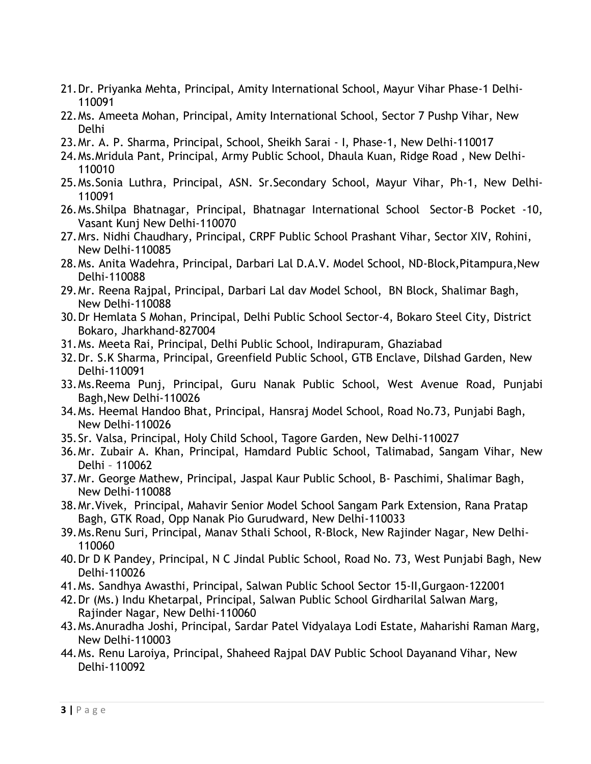- 21.Dr. Priyanka Mehta, Principal, Amity International School, Mayur Vihar Phase-1 Delhi-110091
- 22.Ms. Ameeta Mohan, Principal, Amity International School, Sector 7 Pushp Vihar, New Delhi
- 23.Mr. A. P. Sharma, Principal, School, Sheikh Sarai I, Phase-1, New Delhi-110017
- 24.Ms.Mridula Pant, Principal, Army Public School, Dhaula Kuan, Ridge Road , New Delhi-110010
- 25.Ms.Sonia Luthra, Principal, ASN. Sr.Secondary School, Mayur Vihar, Ph-1, New Delhi-110091
- 26.Ms.Shilpa Bhatnagar, Principal, Bhatnagar International School Sector-B Pocket -10, Vasant Kunj New Delhi-110070
- 27.Mrs. Nidhi Chaudhary, Principal, CRPF Public School Prashant Vihar, Sector XIV, Rohini, New Delhi-110085
- 28.Ms. Anita Wadehra, Principal, Darbari Lal D.A.V. Model School, ND-Block,Pitampura,New Delhi-110088
- 29.Mr. Reena Rajpal, Principal, Darbari Lal dav Model School, BN Block, Shalimar Bagh, New Delhi-110088
- 30.Dr Hemlata S Mohan, Principal, Delhi Public School Sector-4, Bokaro Steel City, District Bokaro, Jharkhand-827004
- 31.Ms. Meeta Rai, Principal, Delhi Public School, Indirapuram, Ghaziabad
- 32.Dr. S.K Sharma, Principal, Greenfield Public School, GTB Enclave, Dilshad Garden, New Delhi-110091
- 33.Ms.Reema Punj, Principal, Guru Nanak Public School, West Avenue Road, Punjabi Bagh,New Delhi-110026
- 34.Ms. Heemal Handoo Bhat, Principal, Hansraj Model School, Road No.73, Punjabi Bagh, New Delhi-110026
- 35.Sr. Valsa, Principal, Holy Child School, Tagore Garden, New Delhi-110027
- 36.Mr. Zubair A. Khan, Principal, Hamdard Public School, Talimabad, Sangam Vihar, New Delhi – 110062
- 37.Mr. George Mathew, Principal, Jaspal Kaur Public School, B- Paschimi, Shalimar Bagh, New Delhi-110088
- 38.Mr.Vivek, Principal, Mahavir Senior Model School Sangam Park Extension, Rana Pratap Bagh, GTK Road, Opp Nanak Pio Gurudward, New Delhi-110033
- 39.Ms.Renu Suri, Principal, Manav Sthali School, R-Block, New Rajinder Nagar, New Delhi-110060
- 40.Dr D K Pandey, Principal, N C Jindal Public School, Road No. 73, West Punjabi Bagh, New Delhi-110026
- 41.Ms. Sandhya Awasthi, Principal, Salwan Public School Sector 15-II,Gurgaon-122001
- 42.Dr (Ms.) Indu Khetarpal, Principal, Salwan Public School Girdharilal Salwan Marg, Rajinder Nagar, New Delhi-110060
- 43.Ms.Anuradha Joshi, Principal, Sardar Patel Vidyalaya Lodi Estate, Maharishi Raman Marg, New Delhi-110003
- 44.Ms. Renu Laroiya, Principal, Shaheed Rajpal DAV Public School Dayanand Vihar, New Delhi-110092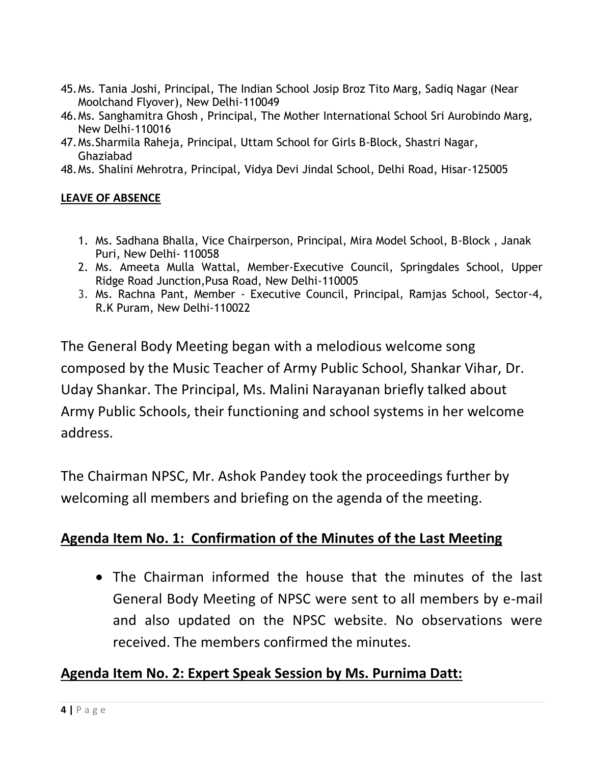- 45.Ms. Tania Joshi, Principal, The Indian School Josip Broz Tito Marg, Sadiq Nagar (Near Moolchand Flyover), New Delhi-110049
- 46.Ms. Sanghamitra Ghosh , Principal, The Mother International School Sri Aurobindo Marg, New Delhi-110016
- 47.Ms.Sharmila Raheja, Principal, Uttam School for Girls B-Block, Shastri Nagar, Ghaziabad
- 48.Ms. Shalini Mehrotra, Principal, Vidya Devi Jindal School, Delhi Road, Hisar-125005

#### **LEAVE OF ABSENCE**

- 1. Ms. Sadhana Bhalla, Vice Chairperson, Principal, Mira Model School, B-Block , Janak Puri, New Delhi- 110058
- 2. Ms. Ameeta Mulla Wattal, Member-Executive Council, Springdales School, Upper Ridge Road Junction,Pusa Road, New Delhi-110005
- 3. Ms. Rachna Pant, Member Executive Council, Principal, Ramjas School, Sector-4, R.K Puram, New Delhi-110022

The General Body Meeting began with a melodious welcome song composed by the Music Teacher of Army Public School, Shankar Vihar, Dr. Uday Shankar. The Principal, Ms. Malini Narayanan briefly talked about Army Public Schools, their functioning and school systems in her welcome address.

The Chairman NPSC, Mr. Ashok Pandey took the proceedings further by welcoming all members and briefing on the agenda of the meeting.

## **Agenda Item No. 1: Confirmation of the Minutes of the Last Meeting**

 The Chairman informed the house that the minutes of the last General Body Meeting of NPSC were sent to all members by e-mail and also updated on the NPSC website. No observations were received. The members confirmed the minutes.

## **Agenda Item No. 2: Expert Speak Session by Ms. Purnima Datt:**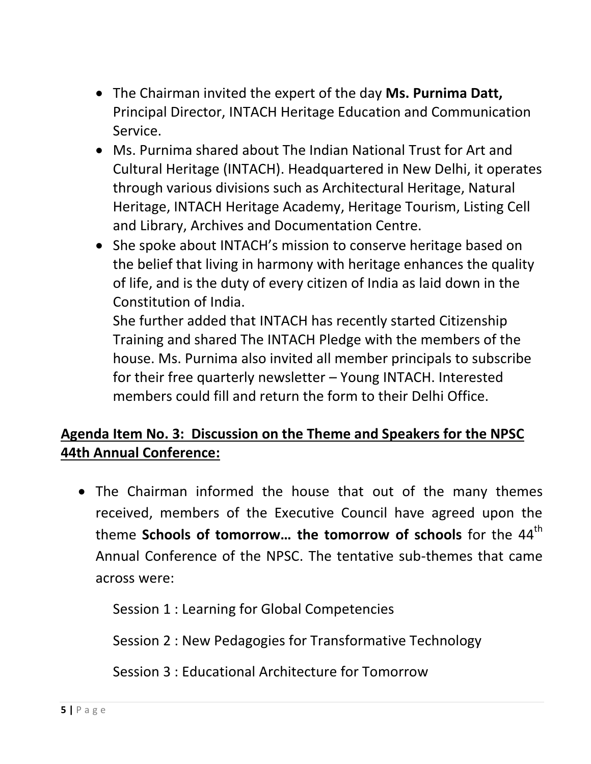- The Chairman invited the expert of the day **Ms. Purnima Datt,** Principal Director, INTACH Heritage Education and Communication Service.
- Ms. Purnima shared about The Indian National Trust for Art and Cultural Heritage (INTACH). Headquartered in New Delhi, it operates through various divisions such as Architectural Heritage, Natural Heritage, INTACH Heritage Academy, Heritage Tourism, Listing Cell and Library, Archives and Documentation Centre.
- She spoke about INTACH's mission to conserve heritage based on the belief that living in harmony with heritage enhances the quality of life, and is the duty of every citizen of India as laid down in the Constitution of India.

She further added that INTACH has recently started Citizenship Training and shared The INTACH Pledge with the members of the house. Ms. Purnima also invited all member principals to subscribe for their free quarterly newsletter – Young INTACH. Interested members could fill and return the form to their Delhi Office.

# **Agenda Item No. 3: Discussion on the Theme and Speakers for the NPSC 44th Annual Conference:**

 The Chairman informed the house that out of the many themes received, members of the Executive Council have agreed upon the theme **Schools of tomorrow... the tomorrow of schools** for the 44<sup>th</sup> Annual Conference of the NPSC. The tentative sub-themes that came across were:

Session 1 : Learning for Global Competencies

Session 2 : New Pedagogies for Transformative Technology

Session 3 : Educational Architecture for Tomorrow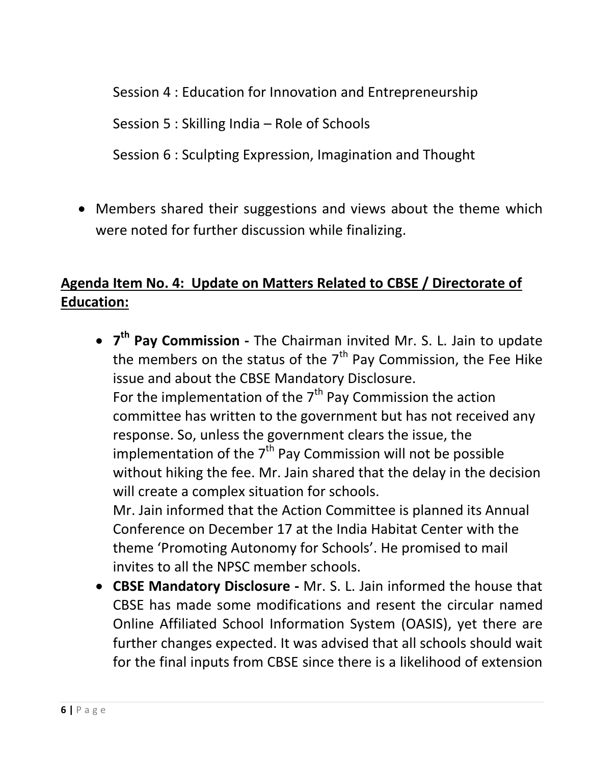Session 4 : Education for Innovation and Entrepreneurship

Session 5 : Skilling India – Role of Schools

Session 6 : Sculpting Expression, Imagination and Thought

• Members shared their suggestions and views about the theme which were noted for further discussion while finalizing.

# **Agenda Item No. 4: Update on Matters Related to CBSE / Directorate of Education:**

- **7 th Pay Commission -** The Chairman invited Mr. S. L. Jain to update the members on the status of the  $7<sup>th</sup>$  Pay Commission, the Fee Hike issue and about the CBSE Mandatory Disclosure. For the implementation of the  $7<sup>th</sup>$  Pay Commission the action committee has written to the government but has not received any response. So, unless the government clears the issue, the implementation of the  $7<sup>th</sup>$  Pay Commission will not be possible without hiking the fee. Mr. Jain shared that the delay in the decision will create a complex situation for schools. Mr. Jain informed that the Action Committee is planned its Annual Conference on December 17 at the India Habitat Center with the theme 'Promoting Autonomy for Schools'. He promised to mail invites to all the NPSC member schools.
- **CBSE Mandatory Disclosure -** Mr. S. L. Jain informed the house that CBSE has made some modifications and resent the circular named Online Affiliated School Information System (OASIS), yet there are further changes expected. It was advised that all schools should wait for the final inputs from CBSE since there is a likelihood of extension